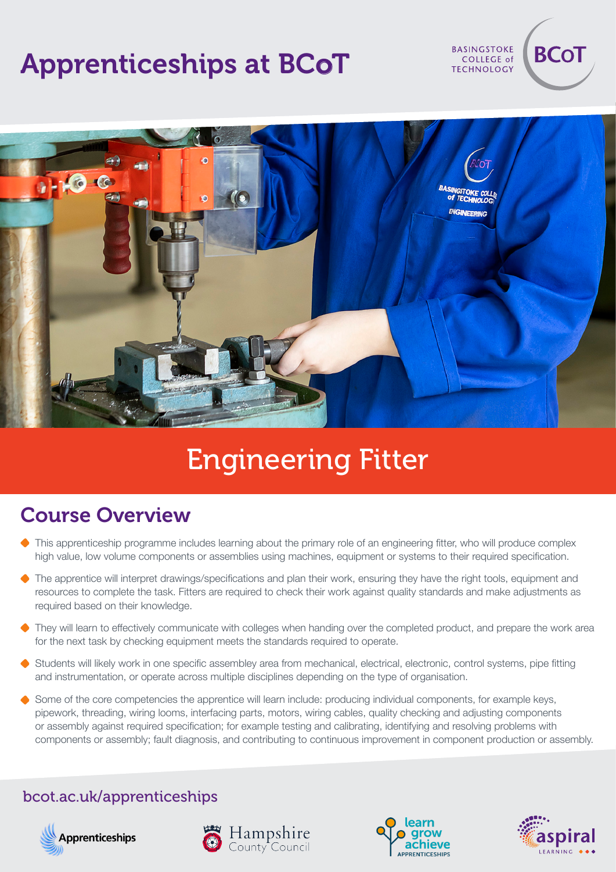# Apprenticeships at BCoT

**TECHNOLOGY** 

**BASINGSTOKE** COLLEGE of **BCoT** 



# Engineering Fitter

#### Course Overview

- This apprenticeship programme includes learning about the primary role of an engineering fitter, who will produce complex high value, low volume components or assemblies using machines, equipment or systems to their required specification.
- The apprentice will interpret drawings/specifications and plan their work, ensuring they have the right tools, equipment and resources to complete the task. Fitters are required to check their work against quality standards and make adjustments as required based on their knowledge.
- They will learn to effectively communicate with colleges when handing over the completed product, and prepare the work area for the next task by checking equipment meets the standards required to operate.
- Students will likely work in one specific assembley area from mechanical, electrical, electronic, control systems, pipe fitting and instrumentation, or operate across multiple disciplines depending on the type of organisation.
- Some of the core competencies the apprentice will learn include: producing individual components, for example keys, pipework, threading, wiring looms, interfacing parts, motors, wiring cables, quality checking and adjusting components or assembly against required specification; for example testing and calibrating, identifying and resolving problems with components or assembly; fault diagnosis, and contributing to continuous improvement in component production or assembly.

#### bcot.ac.uk/apprenticeships